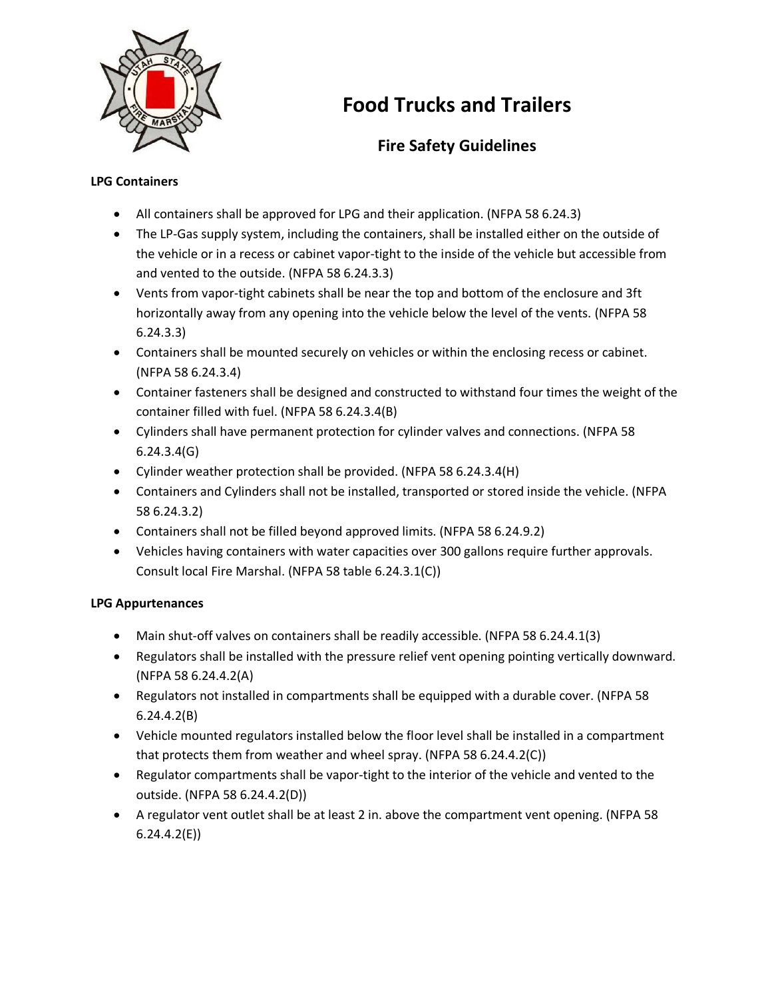

# **Food Trucks and Trailers**

# **Fire Safety Guidelines**

## **LPG Containers**

- All containers shall be approved for LPG and their application. (NFPA 58 6.24.3)
- The LP-Gas supply system, including the containers, shall be installed either on the outside of the vehicle or in a recess or cabinet vapor-tight to the inside of the vehicle but accessible from and vented to the outside. (NFPA 58 6.24.3.3)
- Vents from vapor-tight cabinets shall be near the top and bottom of the enclosure and 3ft horizontally away from any opening into the vehicle below the level of the vents. (NFPA 58 6.24.3.3)
- Containers shall be mounted securely on vehicles or within the enclosing recess or cabinet. (NFPA 58 6.24.3.4)
- Container fasteners shall be designed and constructed to withstand four times the weight of the container filled with fuel. (NFPA 58 6.24.3.4(B)
- Cylinders shall have permanent protection for cylinder valves and connections. (NFPA 58 6.24.3.4(G)
- Cylinder weather protection shall be provided. (NFPA 58 6.24.3.4(H)
- Containers and Cylinders shall not be installed, transported or stored inside the vehicle. (NFPA 58 6.24.3.2)
- Containers shall not be filled beyond approved limits. (NFPA 58 6.24.9.2)
- Vehicles having containers with water capacities over 300 gallons require further approvals. Consult local Fire Marshal. (NFPA 58 table 6.24.3.1(C))

# **LPG Appurtenances**

- Main shut-off valves on containers shall be readily accessible. (NFPA 58 6.24.4.1(3)
- Regulators shall be installed with the pressure relief vent opening pointing vertically downward. (NFPA 58 6.24.4.2(A)
- Regulators not installed in compartments shall be equipped with a durable cover. (NFPA 58 6.24.4.2(B)
- Vehicle mounted regulators installed below the floor level shall be installed in a compartment that protects them from weather and wheel spray. (NFPA 58 6.24.4.2(C))
- Regulator compartments shall be vapor-tight to the interior of the vehicle and vented to the outside. (NFPA 58 6.24.4.2(D))
- A regulator vent outlet shall be at least 2 in. above the compartment vent opening. (NFPA 58 6.24.4.2(E))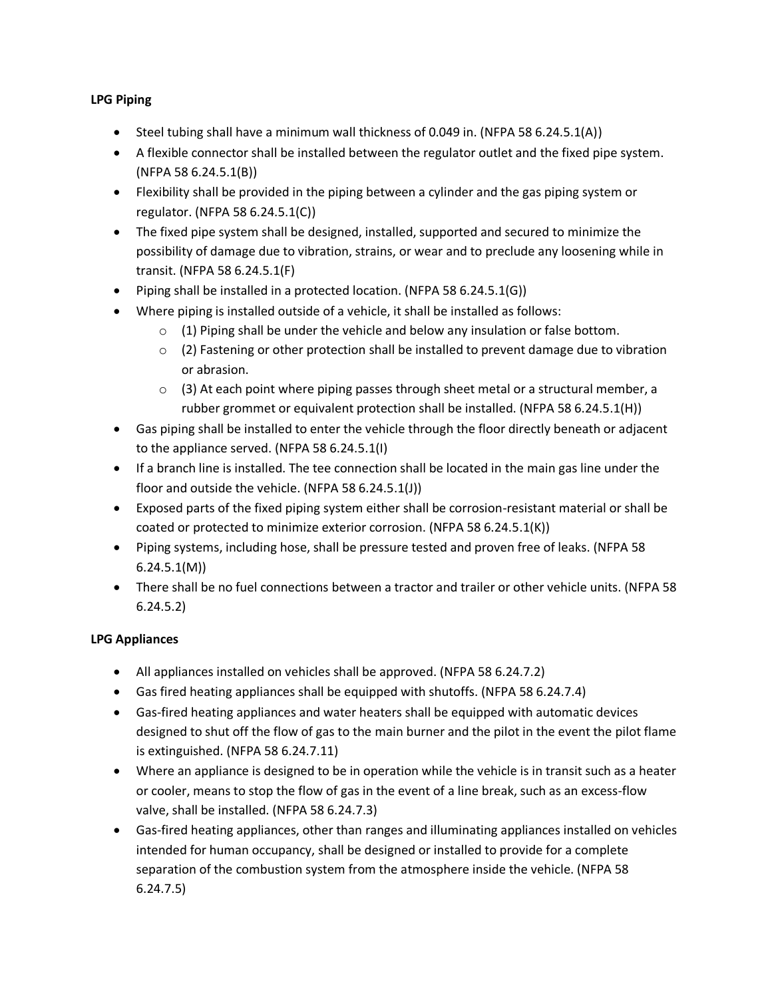## **LPG Piping**

- $\bullet$  Steel tubing shall have a minimum wall thickness of 0.049 in. (NFPA 58 6.24.5.1(A))
- A flexible connector shall be installed between the regulator outlet and the fixed pipe system. (NFPA 58 6.24.5.1(B))
- Flexibility shall be provided in the piping between a cylinder and the gas piping system or regulator. (NFPA 58 6.24.5.1(C))
- The fixed pipe system shall be designed, installed, supported and secured to minimize the possibility of damage due to vibration, strains, or wear and to preclude any loosening while in transit. (NFPA 58 6.24.5.1(F)
- Piping shall be installed in a protected location. (NFPA 58 6.24.5.1(G))
- Where piping is installed outside of a vehicle, it shall be installed as follows:
	- $\circ$  (1) Piping shall be under the vehicle and below any insulation or false bottom.
	- $\circ$  (2) Fastening or other protection shall be installed to prevent damage due to vibration or abrasion.
	- $\circ$  (3) At each point where piping passes through sheet metal or a structural member, a rubber grommet or equivalent protection shall be installed. (NFPA 58 6.24.5.1(H))
- Gas piping shall be installed to enter the vehicle through the floor directly beneath or adjacent to the appliance served. (NFPA 58 6.24.5.1(I)
- If a branch line is installed. The tee connection shall be located in the main gas line under the floor and outside the vehicle. (NFPA 58 6.24.5.1(J))
- Exposed parts of the fixed piping system either shall be corrosion-resistant material or shall be coated or protected to minimize exterior corrosion. (NFPA 58 6.24.5.1(K))
- Piping systems, including hose, shall be pressure tested and proven free of leaks. (NFPA 58 6.24.5.1(M))
- There shall be no fuel connections between a tractor and trailer or other vehicle units. (NFPA 58 6.24.5.2)

#### **LPG Appliances**

- All appliances installed on vehicles shall be approved. (NFPA 58 6.24.7.2)
- Gas fired heating appliances shall be equipped with shutoffs. (NFPA 58 6.24.7.4)
- Gas-fired heating appliances and water heaters shall be equipped with automatic devices designed to shut off the flow of gas to the main burner and the pilot in the event the pilot flame is extinguished. (NFPA 58 6.24.7.11)
- Where an appliance is designed to be in operation while the vehicle is in transit such as a heater or cooler, means to stop the flow of gas in the event of a line break, such as an excess-flow valve, shall be installed. (NFPA 58 6.24.7.3)
- Gas-fired heating appliances, other than ranges and illuminating appliances installed on vehicles intended for human occupancy, shall be designed or installed to provide for a complete separation of the combustion system from the atmosphere inside the vehicle. (NFPA 58 6.24.7.5)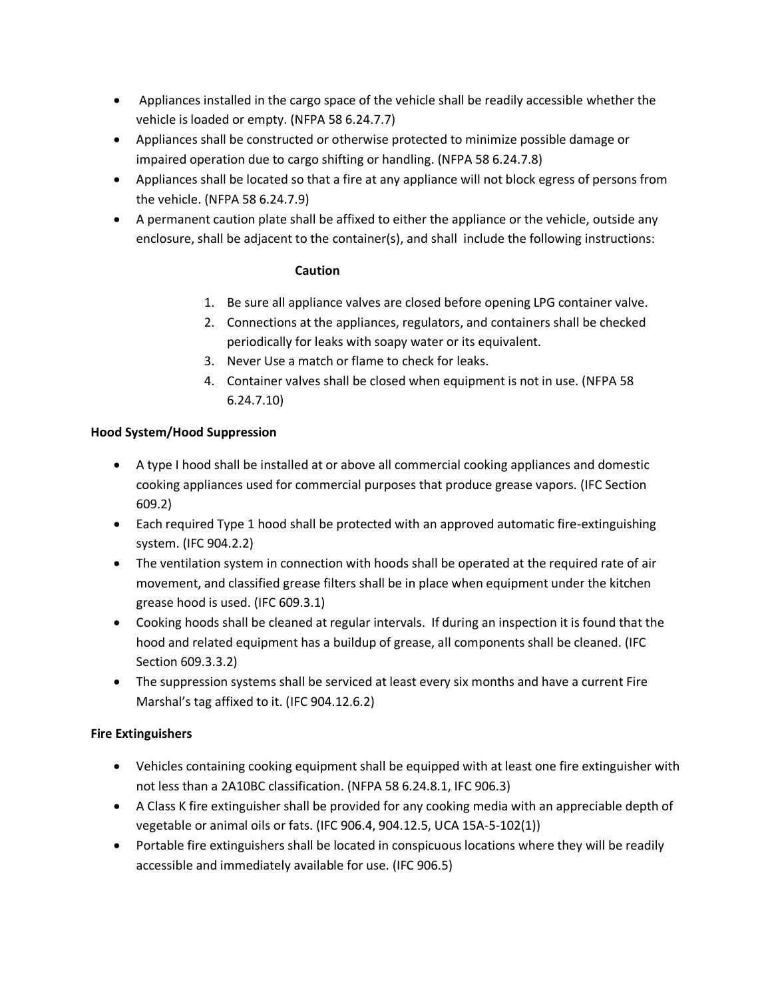- Appliances installed in the cargo space of the vehicle shall be readily accessible whether the vehicle is loaded or empty. (NFPA 58 6.24.7.7)
- Appliances shall be constructed or otherwise protected to minimize possible damage or impaired operation due to cargo shifting or handling. (NFPA 58 6.24.7.8)
- Appliances shall be located so that a fire at any appliance will not block egress of persons from the vehicle. (NFPA 58 6.24.7.9)
- A permanent caution plate shall be affixed to either the appliance or the vehicle, outside any enclosure, shall be adjacent to the container(s), and shall include the following instructions:

#### **Caution**

- 1. Be sure all appliance valves are closed before opening LPG container valve.
- 2. Connections at the appliances, regulators, and containers shall be checked periodically for leaks with soapy water or its equivalent.
- 3. Never Use a match or flame to check for leaks.
- 4. Container valves shall be closed when equipment is not in use. (NFPA 58 6.24.7.10)

#### **Hood System/Hood Suppression**

- A type I hood shall be installed at or above all commercial cooking appliances and domestic cooking appliances used for commercial purposes that produce grease vapors. (IFC Section 609.2)
- Each required Type 1 hood shall be protected with an approved automatic fire-extinguishing system. (IFC 904.2.2)
- The ventilation system in connection with hoods shall be operated at the required rate of air movement, and classified grease filters shall be in place when equipment under the kitchen grease hood is used. (IFC 609.3.1)
- Cooking hoods shall be cleaned at regular intervals. If during an inspection it is found that the hood and related equipment has a buildup of grease, all components shall be cleaned. (IFC Section 609.3.3.2)
- The suppression systems shall be serviced at least every six months and have a current Fire Marshal's tag affixed to it. (IFC 904.12.6.2)

#### **Fire Extinguishers**

- Vehicles containing cooking equipment shall be equipped with at least one fire extinguisher with not less than a 2A10BC classification. (NFPA 58 6.24.8.1, IFC 906.3)
- A Class K fire extinguisher shall be provided for any cooking media with an appreciable depth of vegetable or animal oils or fats. (IFC 906.4, 904.12.5, UCA 15A-5-102(1))
- Portable fire extinguishers shall be located in conspicuous locations where they will be readily accessible and immediately available for use. (IFC 906.5)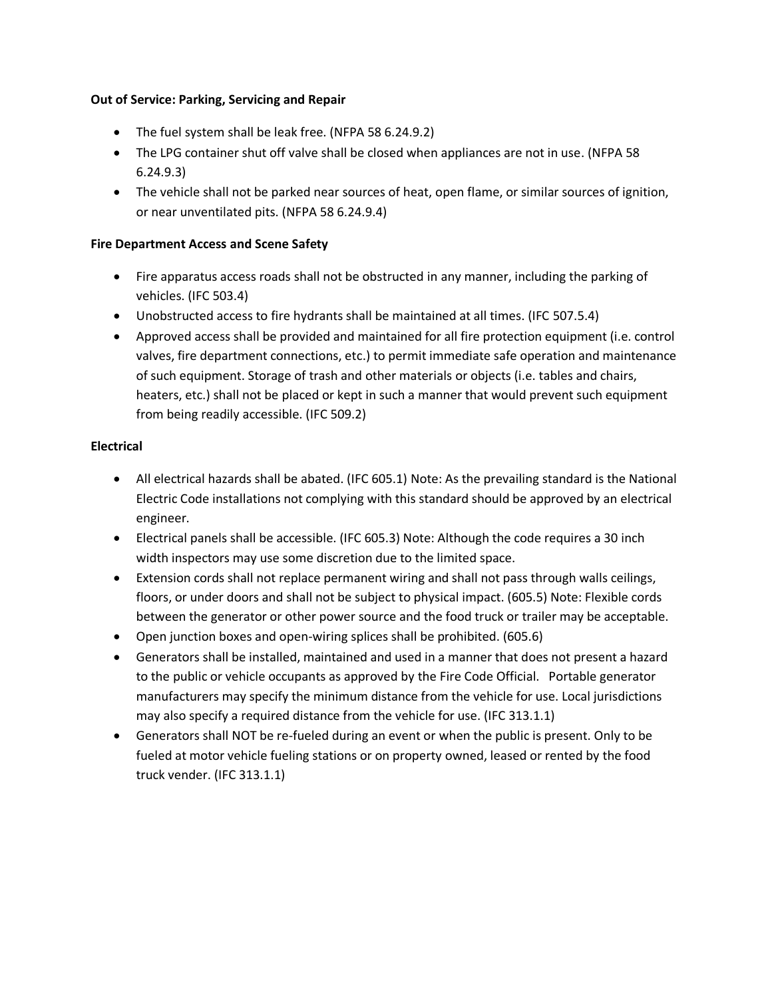#### **Out of Service: Parking, Servicing and Repair**

- The fuel system shall be leak free. (NFPA 58 6.24.9.2)
- The LPG container shut off valve shall be closed when appliances are not in use. (NFPA 58 6.24.9.3)
- The vehicle shall not be parked near sources of heat, open flame, or similar sources of ignition, or near unventilated pits. (NFPA 58 6.24.9.4)

#### **Fire Department Access and Scene Safety**

- Fire apparatus access roads shall not be obstructed in any manner, including the parking of vehicles. (IFC 503.4)
- Unobstructed access to fire hydrants shall be maintained at all times. (IFC 507.5.4)
- Approved access shall be provided and maintained for all fire protection equipment (i.e. control valves, fire department connections, etc.) to permit immediate safe operation and maintenance of such equipment. Storage of trash and other materials or objects (i.e. tables and chairs, heaters, etc.) shall not be placed or kept in such a manner that would prevent such equipment from being readily accessible. (IFC 509.2)

#### **Electrical**

- All electrical hazards shall be abated. (IFC 605.1) Note: As the prevailing standard is the National Electric Code installations not complying with this standard should be approved by an electrical engineer.
- Electrical panels shall be accessible. (IFC 605.3) Note: Although the code requires a 30 inch width inspectors may use some discretion due to the limited space.
- Extension cords shall not replace permanent wiring and shall not pass through walls ceilings, floors, or under doors and shall not be subject to physical impact. (605.5) Note: Flexible cords between the generator or other power source and the food truck or trailer may be acceptable.
- Open junction boxes and open-wiring splices shall be prohibited. (605.6)
- Generators shall be installed, maintained and used in a manner that does not present a hazard to the public or vehicle occupants as approved by the Fire Code Official. Portable generator manufacturers may specify the minimum distance from the vehicle for use. Local jurisdictions may also specify a required distance from the vehicle for use. (IFC 313.1.1)
- Generators shall NOT be re-fueled during an event or when the public is present. Only to be fueled at motor vehicle fueling stations or on property owned, leased or rented by the food truck vender. (IFC 313.1.1)